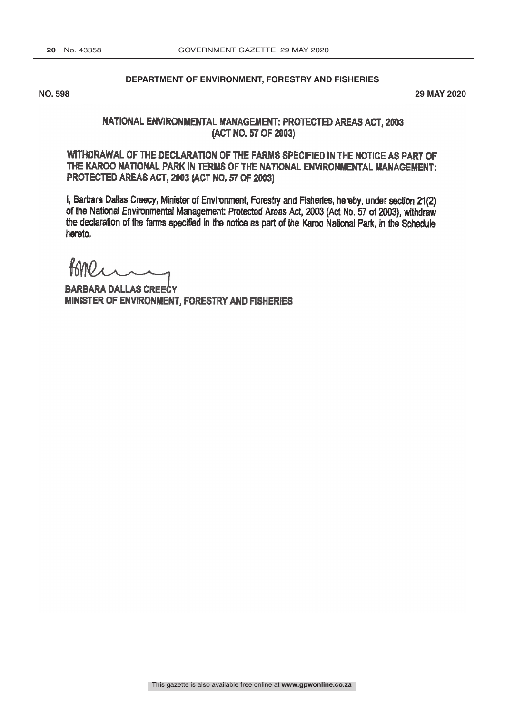## **DEPARTMENT OF ENVIRONMENT, FORESTRY AND FISHERIES**

**NO. 598 29 MAY 2020**

## NATIONAL ENVIRONMENTAL MANAGEMENT: PROTECTED AREAS ACT, 2003 (ACT NO. 57 OF 2003)

WITHDRAWAL OF THE DECLARATION OF THE FARMS SPECIFIED IN THE NOTICE AS PART OF THE KAROO NATIONAL PARK IN TERMS OF THE NATIONAL ENVIRONMENTAL MANAGEMENT: PROTECTED AREAS ACT, 2003 (ACT NO. 57 OF 2003)

I, Barbara Dallas Creecy, Minister of Environment, Forestry and Fisheries, hereby, under section 21(2) of the National Environmental Management: Protected Areas Act, 2003 (Act No. 57 of 2003), withdraw the declaration of the farms specified in the notice as part of the Karoo National Park, in the Schedule hereto.

BARBARA DALLAS CREECY MINISTER OF ENVIRONMENT, FORESTRY AND FISHERIES